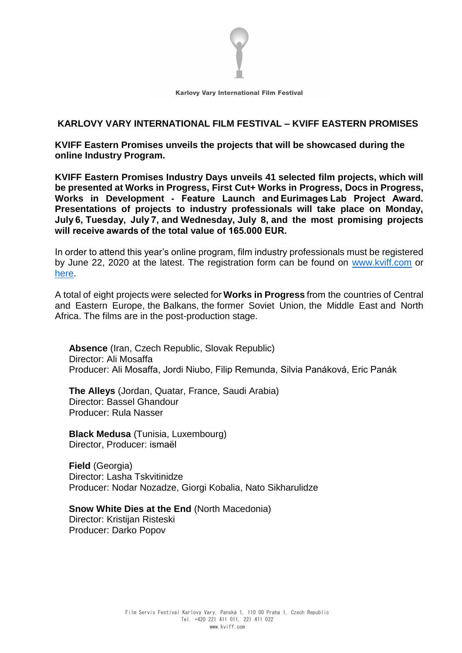

# **KARLOVY VARY INTERNATIONAL FILM FESTIVAL – KVIFF EASTERN PROMISES**

**KVIFF Eastern Promises unveils the projects that will be showcased during the online Industry Program.**

**KVIFF Eastern Promises Industry Days unveils 41 selected film projects, which will be presented at Works in Progress, First Cut+ Works in Progress, Docs in Progress, Works in Development - Feature Launch and Eurimages Lab Project Award. Presentations of projects to industry professionals will take place on Monday, July 6, Tuesday, July 7, and Wednesday, July 8, and the most promising projects will receive awards of the total value of 165.000 EUR.**

In order to attend this year's online program, film industry professionals must be registered by June 22, 2020 at the latest. The registration form can be found on [www.kviff.com](http://www.kviff.com/) or [here.](https://www.kviff.com/en/film-professionals/industry-online-registration/)

A total of eight projects were selected for **Works in Progress** from the countries of Central and Eastern Europe, the Balkans, the former Soviet Union, the Middle East and North Africa. The films are in the post-production stage.

**Absence** (Iran, Czech Republic, Slovak Republic) Director: Ali Mosaffa Producer: Ali Mosaffa, Jordi Niubo, Filip Remunda, Silvia Panáková, Eric Panák

**The Alleys** (Jordan, Quatar, France, Saudi Arabia) Director: Bassel Ghandour Producer: Rula Nasser

**Black Medusa** (Tunisia, Luxembourg) Director, Producer: ismaël

**Field** (Georgia) Director: Lasha Tskvitinidze Producer: Nodar Nozadze, Giorgi Kobalia, Nato Sikharulidze

**Snow White Dies at the End** (North Macedonia) Director: Kristijan Risteski Producer: Darko Popov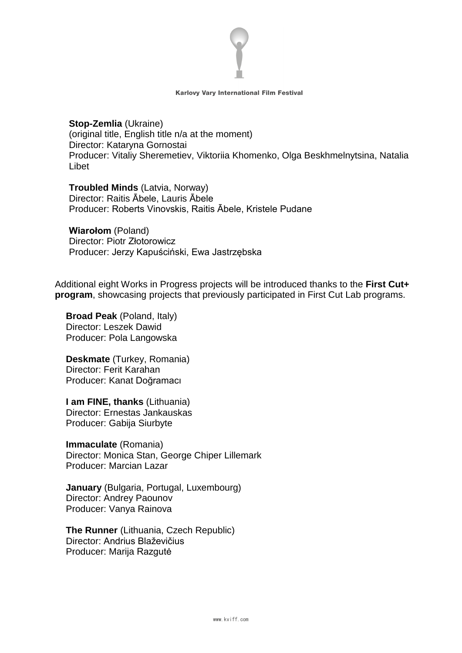

**Stop-Zemlia** (Ukraine) (original title, English title n/a at the moment) Director: Kataryna Gornostai Producer: Vitaliy Sheremetiev, Viktoriia Khomenko, Olga Beskhmelnytsina, Natalia Libet

**Troubled Minds** (Latvia, Norway) Director: Raitis Ābele, Lauris Ābele Producer: Roberts Vinovskis, Raitis Ābele, Kristele Pudane

**Wiarołom** (Poland) Director: Piotr Złotorowicz Producer: Jerzy Kapuściński, Ewa Jastrzębska

Additional eight Works in Progress projects will be introduced thanks to the **First Cut+ program**, showcasing projects that previously participated in First Cut Lab programs.

**Broad Peak** (Poland, Italy) Director: Leszek Dawid Producer: Pola Langowska

**Deskmate** (Turkey, Romania) Director: Ferit Karahan Producer: Kanat Doğramacı

**I am FINE, thanks** (Lithuania) Director: Ernestas Jankauskas Producer: Gabija Siurbyte

**Immaculate** (Romania) Director: Monica Stan, George Chiper Lillemark Producer: Marcian Lazar

**January** (Bulgaria, Portugal, Luxembourg) Director: Andrey Paounov Producer: Vanya Rainova

**The Runner** (Lithuania, Czech Republic) Director: Andrius Blaževičius Producer: Marija Razgutė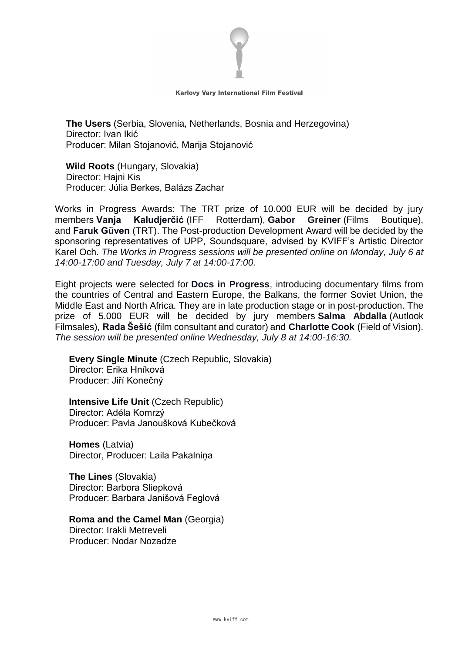

**The Users** (Serbia, Slovenia, Netherlands, Bosnia and Herzegovina) Director: Ivan Ikić Producer: Milan Stojanović, Marija Stojanović

**Wild Roots** (Hungary, Slovakia) Director: Hajni Kis Producer: Júlia Berkes, Balázs Zachar

Works in Progress Awards: The TRT prize of 10.000 EUR will be decided by jury members **Vanja Kaludjerčić** (IFF Rotterdam), **Gabor Greiner** (Films Boutique), and **Faruk Güven** (TRT). The Post-production Development Award will be decided by the sponsoring representatives of UPP, Soundsquare, advised by KVIFF's Artistic Director Karel Och. *The Works in Progress sessions will be presented online on Monday, July 6 at 14:00-17:00 and Tuesday, July 7 at 14:00-17:00.*

Eight projects were selected for **Docs in Progress**, introducing documentary films from the countries of Central and Eastern Europe, the Balkans, the former Soviet Union, the Middle East and North Africa. They are in late production stage or in post-production. The prize of 5.000 EUR will be decided by jury members **Salma Abdalla** (Autlook Filmsales), **Rada Šešić** (film consultant and curator) and **Charlotte Cook** (Field of Vision). *The session will be presented online Wednesday, July 8 at 14:00-16:30.*

**Every Single Minute** (Czech Republic, Slovakia) Director: Erika Hníková Producer: Jiří Konečný

**Intensive Life Unit** (Czech Republic) Director: Adéla Komrzý Producer: Pavla Janoušková Kubečková

**Homes** (Latvia) Director, Producer: Laila Pakalniņa

**The Lines** (Slovakia) Director: Barbora Sliepková Producer: Barbara Janišová Feglová

**Roma and the Camel Man** (Georgia)

Director: Irakli Metreveli Producer: Nodar Nozadze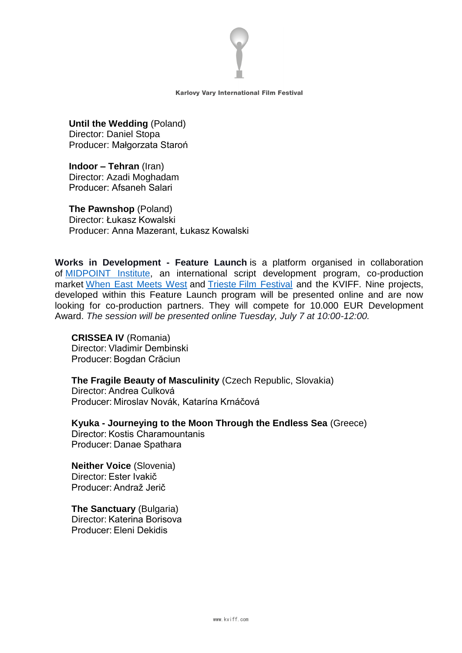

**Until the Wedding** (Poland) Director: Daniel Stopa Producer: Małgorzata Staroń

**Indoor – Tehran** (Iran) Director: Azadi Moghadam Producer: Afsaneh Salari  

**The Pawnshop** (Poland) Director: Łukasz Kowalski Producer: Anna Mazerant, Łukasz Kowalski

**Works in Development - Feature Launch** is a platform organised in collaboration of [MIDPOINT Institute,](https://www.midpoint-institute.eu/) an international script development program, co-production market When [East Meets West](http://www.wemw.it/) and Trieste [Film Festival](http://www.triestefilmfestival.it/en/) and the KVIFF. Nine projects, developed within this Feature Launch program will be presented online and are now looking for co-production partners. They will compete for 10.000 EUR Development Award. *The session will be presented online Tuesday, July 7 at 10:00-12:00.*

**CRISSEA IV** (Romania) Director: Vladimir Dembinski Producer: Bogdan Crăciun

**The Fragile Beauty of Masculinity** (Czech Republic, Slovakia) Director: Andrea Culková Producer: Miroslav Novák, Katarína Krnáčová

**Kyuka - Journeying to the Moon Through the Endless Sea** (Greece) Director: Kostis Charamountanis Producer: Danae Spathara

**Neither Voice** (Slovenia) Director: Ester Ivakič Producer: Andraž Jerič

**The Sanctuary** (Bulgaria) Director: Katerina Borisova Producer: Eleni Dekidis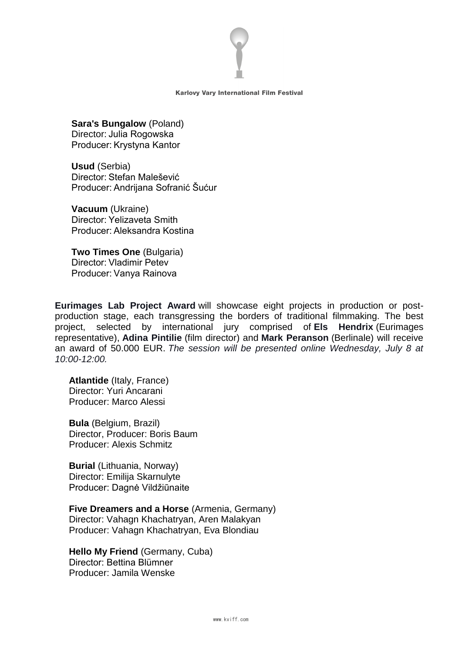

**Sara's Bungalow** (Poland) Director: Julia Rogowska Producer: Krystyna Kantor

**Usud** (Serbia) Director: Stefan Malešević Producer: Andrijana Sofranić Šućur

**Vacuum** (Ukraine) Director: Yelizaveta Smith Producer: Aleksandra Kostina

**Two Times One** (Bulgaria) Director: Vladimir Petev Producer: Vanya Rainova

**Eurimages Lab Project Award** will showcase eight projects in production or postproduction stage, each transgressing the borders of traditional filmmaking. The best project, selected by international jury comprised of **Els Hendrix** (Eurimages representative), **Adina Pintilie** (film director) and **Mark Peranson** (Berlinale) will receive an award of 50.000 EUR. *The session will be presented online Wednesday, July 8 at 10:00-12:00.*

**Atlantide** (Italy, France) Director: Yuri Ancarani Producer: Marco Alessi

**Bula** (Belgium, Brazil) Director, Producer: Boris Baum Producer: Alexis Schmitz

**Burial** (Lithuania, Norway) Director: Emilija Skarnulyte Producer: Dagnė Vildžiūnaite

**Five Dreamers and a Horse** (Armenia, Germany) Director: Vahagn Khachatryan, Aren Malakyan Producer: Vahagn Khachatryan, Eva Blondiau

**Hello My Friend** (Germany, Cuba) Director: Bettina Blümner Producer: Jamila Wenske